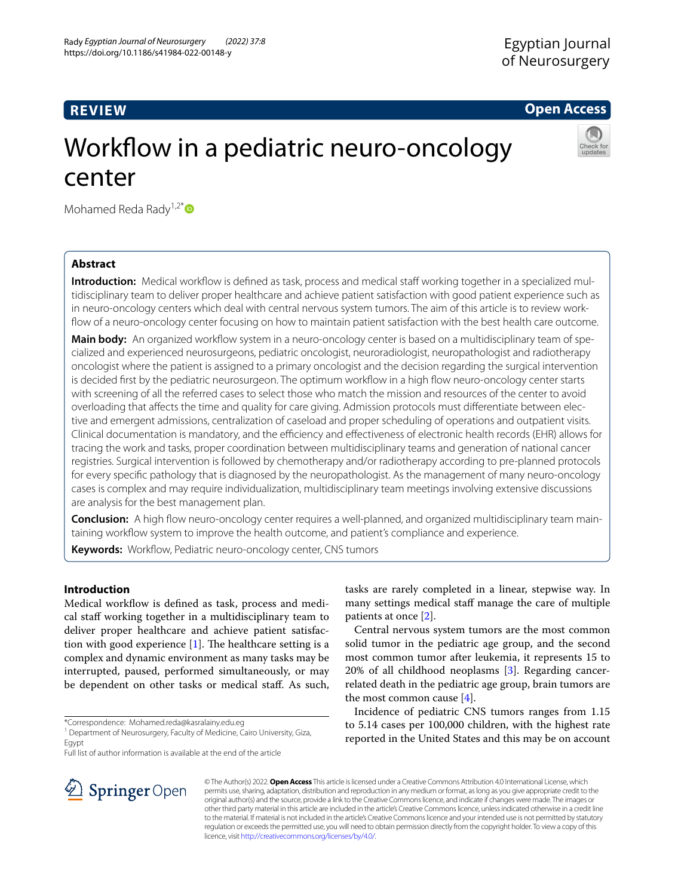## **REVIEW**

**Open Access**

# Workflow in a pediatric neuro-oncology center

Mohamed Reda Rady<sup>1,2[\\*](http://orcid.org/0000-0003-1971-6933)</sup> $\bullet$ 

## **Abstract**

**Introduction:** Medical workflow is defined as task, process and medical staff working together in a specialized multidisciplinary team to deliver proper healthcare and achieve patient satisfaction with good patient experience such as in neuro-oncology centers which deal with central nervous system tumors. The aim of this article is to review workflow of a neuro-oncology center focusing on how to maintain patient satisfaction with the best health care outcome.

**Main body:** An organized workfow system in a neuro-oncology center is based on a multidisciplinary team of specialized and experienced neurosurgeons, pediatric oncologist, neuroradiologist, neuropathologist and radiotherapy oncologist where the patient is assigned to a primary oncologist and the decision regarding the surgical intervention is decided frst by the pediatric neurosurgeon. The optimum workfow in a high fow neuro-oncology center starts with screening of all the referred cases to select those who match the mission and resources of the center to avoid overloading that afects the time and quality for care giving. Admission protocols must diferentiate between elective and emergent admissions, centralization of caseload and proper scheduling of operations and outpatient visits. Clinical documentation is mandatory, and the efficiency and effectiveness of electronic health records (EHR) allows for tracing the work and tasks, proper coordination between multidisciplinary teams and generation of national cancer registries. Surgical intervention is followed by chemotherapy and/or radiotherapy according to pre-planned protocols for every specifc pathology that is diagnosed by the neuropathologist. As the management of many neuro-oncology cases is complex and may require individualization, multidisciplinary team meetings involving extensive discussions are analysis for the best management plan.

**Conclusion:** A high fow neuro-oncology center requires a well-planned, and organized multidisciplinary team maintaining workflow system to improve the health outcome, and patient's compliance and experience.

Keywords: Workflow, Pediatric neuro-oncology center, CNS tumors

## **Introduction**

Medical workflow is defined as task, process and medical staf working together in a multidisciplinary team to deliver proper healthcare and achieve patient satisfaction with good experience  $[1]$ . The healthcare setting is a complex and dynamic environment as many tasks may be interrupted, paused, performed simultaneously, or may be dependent on other tasks or medical staf. As such,



Central nervous system tumors are the most common solid tumor in the pediatric age group, and the second most common tumor after leukemia, it represents 15 to 20% of all childhood neoplasms [\[3\]](#page-4-2). Regarding cancerrelated death in the pediatric age group, brain tumors are the most common cause [[4\]](#page-4-3).

Incidence of pediatric CNS tumors ranges from 1.15 to 5.14 cases per 100,000 children, with the highest rate reported in the United States and this may be on account



© The Author(s) 2022. **Open Access** This article is licensed under a Creative Commons Attribution 4.0 International License, which permits use, sharing, adaptation, distribution and reproduction in any medium or format, as long as you give appropriate credit to the original author(s) and the source, provide a link to the Creative Commons licence, and indicate if changes were made. The images or other third party material in this article are included in the article's Creative Commons licence, unless indicated otherwise in a credit line to the material. If material is not included in the article's Creative Commons licence and your intended use is not permitted by statutory regulation or exceeds the permitted use, you will need to obtain permission directly from the copyright holder. To view a copy of this licence, visit [http://creativecommons.org/licenses/by/4.0/.](http://creativecommons.org/licenses/by/4.0/)

<sup>\*</sup>Correspondence: Mohamed.reda@kasralainy.edu.eg

<sup>&</sup>lt;sup>1</sup> Department of Neurosurgery, Faculty of Medicine, Cairo University, Giza, Egypt

Full list of author information is available at the end of the article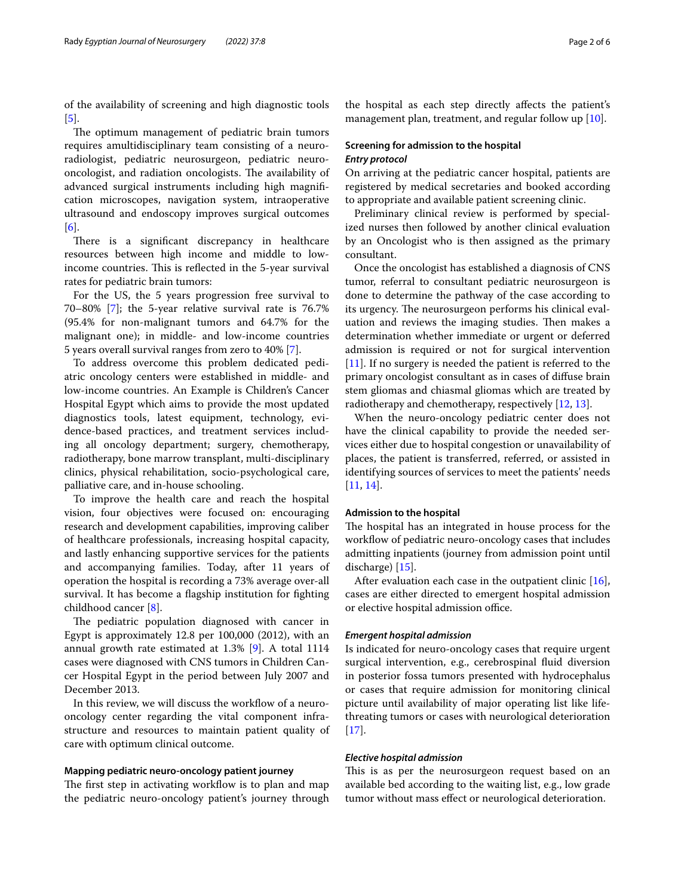of the availability of screening and high diagnostic tools [[5\]](#page-4-4).

The optimum management of pediatric brain tumors requires amultidisciplinary team consisting of a neuroradiologist, pediatric neurosurgeon, pediatric neurooncologist, and radiation oncologists. The availability of advanced surgical instruments including high magnifcation microscopes, navigation system, intraoperative ultrasound and endoscopy improves surgical outcomes [[6\]](#page-4-5).

There is a significant discrepancy in healthcare resources between high income and middle to lowincome countries. This is reflected in the 5-year survival rates for pediatric brain tumors:

For the US, the 5 years progression free survival to 70–80% [\[7](#page-4-6)]; the 5-year relative survival rate is 76.7% (95.4% for non-malignant tumors and 64.7% for the malignant one); in middle- and low-income countries 5 years overall survival ranges from zero to 40% [[7\]](#page-4-6).

To address overcome this problem dedicated pediatric oncology centers were established in middle- and low-income countries. An Example is Children's Cancer Hospital Egypt which aims to provide the most updated diagnostics tools, latest equipment, technology, evidence-based practices, and treatment services including all oncology department; surgery, chemotherapy, radiotherapy, bone marrow transplant, multi-disciplinary clinics, physical rehabilitation, socio-psychological care, palliative care, and in-house schooling.

To improve the health care and reach the hospital vision, four objectives were focused on: encouraging research and development capabilities, improving caliber of healthcare professionals, increasing hospital capacity, and lastly enhancing supportive services for the patients and accompanying families. Today, after 11 years of operation the hospital is recording a 73% average over-all survival. It has become a fagship institution for fghting childhood cancer [[8\]](#page-4-7).

The pediatric population diagnosed with cancer in Egypt is approximately 12.8 per 100,000 (2012), with an annual growth rate estimated at 1.3% [[9\]](#page-4-8). A total 1114 cases were diagnosed with CNS tumors in Children Cancer Hospital Egypt in the period between July 2007 and December 2013.

In this review, we will discuss the workflow of a neurooncology center regarding the vital component infrastructure and resources to maintain patient quality of care with optimum clinical outcome.

## **Mapping pediatric neuro‑oncology patient journey**

The first step in activating workflow is to plan and map the pediatric neuro-oncology patient's journey through

the hospital as each step directly afects the patient's management plan, treatment, and regular follow up [\[10\]](#page-4-9).

## **Screening for admission to the hospital** *Entry protocol*

On arriving at the pediatric cancer hospital, patients are registered by medical secretaries and booked according to appropriate and available patient screening clinic.

Preliminary clinical review is performed by specialized nurses then followed by another clinical evaluation by an Oncologist who is then assigned as the primary consultant.

Once the oncologist has established a diagnosis of CNS tumor, referral to consultant pediatric neurosurgeon is done to determine the pathway of the case according to its urgency. The neurosurgeon performs his clinical evaluation and reviews the imaging studies. Then makes a determination whether immediate or urgent or deferred admission is required or not for surgical intervention [[11\]](#page-4-10). If no surgery is needed the patient is referred to the primary oncologist consultant as in cases of difuse brain stem gliomas and chiasmal gliomas which are treated by radiotherapy and chemotherapy, respectively [\[12](#page-4-11), [13](#page-4-12)].

When the neuro-oncology pediatric center does not have the clinical capability to provide the needed services either due to hospital congestion or unavailability of places, the patient is transferred, referred, or assisted in identifying sources of services to meet the patients' needs [[11,](#page-4-10) [14](#page-4-13)].

#### **Admission to the hospital**

The hospital has an integrated in house process for the workflow of pediatric neuro-oncology cases that includes admitting inpatients (journey from admission point until discharge) [\[15](#page-4-14)].

After evaluation each case in the outpatient clinic [\[16](#page-4-15)], cases are either directed to emergent hospital admission or elective hospital admission office.

#### *Emergent hospital admission*

Is indicated for neuro-oncology cases that require urgent surgical intervention, e.g., cerebrospinal fuid diversion in posterior fossa tumors presented with hydrocephalus or cases that require admission for monitoring clinical picture until availability of major operating list like lifethreating tumors or cases with neurological deterioration [[17\]](#page-4-16).

#### *Elective hospital admission*

This is as per the neurosurgeon request based on an available bed according to the waiting list, e.g., low grade tumor without mass efect or neurological deterioration.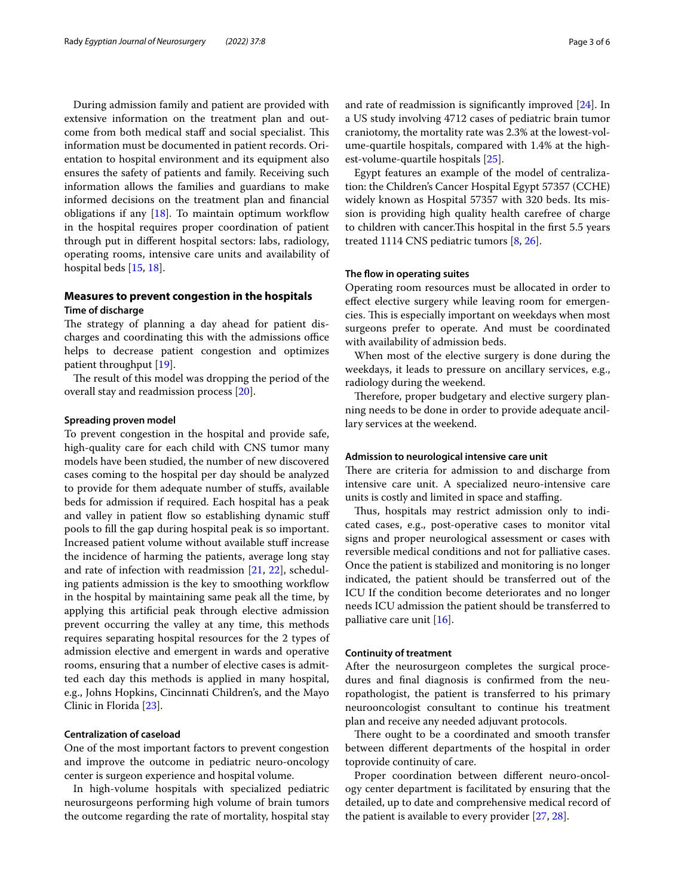During admission family and patient are provided with extensive information on the treatment plan and outcome from both medical staff and social specialist. This information must be documented in patient records. Orientation to hospital environment and its equipment also ensures the safety of patients and family. Receiving such information allows the families and guardians to make informed decisions on the treatment plan and fnancial obligations if any  $[18]$  $[18]$ . To maintain optimum workflow in the hospital requires proper coordination of patient through put in diferent hospital sectors: labs, radiology, operating rooms, intensive care units and availability of hospital beds [\[15,](#page-4-14) [18](#page-5-0)].

## **Measures to prevent congestion in the hospitals Time of discharge**

The strategy of planning a day ahead for patient discharges and coordinating this with the admissions office helps to decrease patient congestion and optimizes patient throughput [[19\]](#page-5-1).

The result of this model was dropping the period of the overall stay and readmission process [\[20](#page-5-2)].

#### **Spreading proven model**

To prevent congestion in the hospital and provide safe, high-quality care for each child with CNS tumor many models have been studied, the number of new discovered cases coming to the hospital per day should be analyzed to provide for them adequate number of stufs, available beds for admission if required. Each hospital has a peak and valley in patient flow so establishing dynamic stuff pools to fll the gap during hospital peak is so important. Increased patient volume without available stuf increase the incidence of harming the patients, average long stay and rate of infection with readmission [\[21,](#page-5-3) [22](#page-5-4)], scheduling patients admission is the key to smoothing workflow in the hospital by maintaining same peak all the time, by applying this artifcial peak through elective admission prevent occurring the valley at any time, this methods requires separating hospital resources for the 2 types of admission elective and emergent in wards and operative rooms, ensuring that a number of elective cases is admitted each day this methods is applied in many hospital, e.g., Johns Hopkins, Cincinnati Children's, and the Mayo Clinic in Florida [[23](#page-5-5)].

## **Centralization of caseload**

One of the most important factors to prevent congestion and improve the outcome in pediatric neuro-oncology center is surgeon experience and hospital volume.

In high-volume hospitals with specialized pediatric neurosurgeons performing high volume of brain tumors the outcome regarding the rate of mortality, hospital stay and rate of readmission is signifcantly improved [[24\]](#page-5-6). In a US study involving 4712 cases of pediatric brain tumor craniotomy, the mortality rate was 2.3% at the lowest-volume-quartile hospitals, compared with 1.4% at the highest-volume-quartile hospitals [[25](#page-5-7)].

Egypt features an example of the model of centralization: the Children's Cancer Hospital Egypt 57357 (CCHE) widely known as Hospital 57357 with 320 beds. Its mission is providing high quality health carefree of charge to children with cancer. This hospital in the first 5.5 years treated 1114 CNS pediatric tumors [\[8](#page-4-7), [26\]](#page-5-8).

#### **The fow in operating suites**

Operating room resources must be allocated in order to efect elective surgery while leaving room for emergencies. This is especially important on weekdays when most surgeons prefer to operate. And must be coordinated with availability of admission beds.

When most of the elective surgery is done during the weekdays, it leads to pressure on ancillary services, e.g., radiology during the weekend.

Therefore, proper budgetary and elective surgery planning needs to be done in order to provide adequate ancillary services at the weekend.

## **Admission to neurological intensive care unit**

There are criteria for admission to and discharge from intensive care unit. A specialized neuro-intensive care units is costly and limited in space and staffing.

Thus, hospitals may restrict admission only to indicated cases, e.g., post-operative cases to monitor vital signs and proper neurological assessment or cases with reversible medical conditions and not for palliative cases. Once the patient is stabilized and monitoring is no longer indicated, the patient should be transferred out of the ICU If the condition become deteriorates and no longer needs ICU admission the patient should be transferred to palliative care unit [\[16](#page-4-15)].

#### **Continuity of treatment**

After the neurosurgeon completes the surgical procedures and fnal diagnosis is confrmed from the neuropathologist, the patient is transferred to his primary neurooncologist consultant to continue his treatment plan and receive any needed adjuvant protocols.

There ought to be a coordinated and smooth transfer between diferent departments of the hospital in order toprovide continuity of care.

Proper coordination between diferent neuro-oncology center department is facilitated by ensuring that the detailed, up to date and comprehensive medical record of the patient is available to every provider [[27,](#page-5-9) [28](#page-5-10)].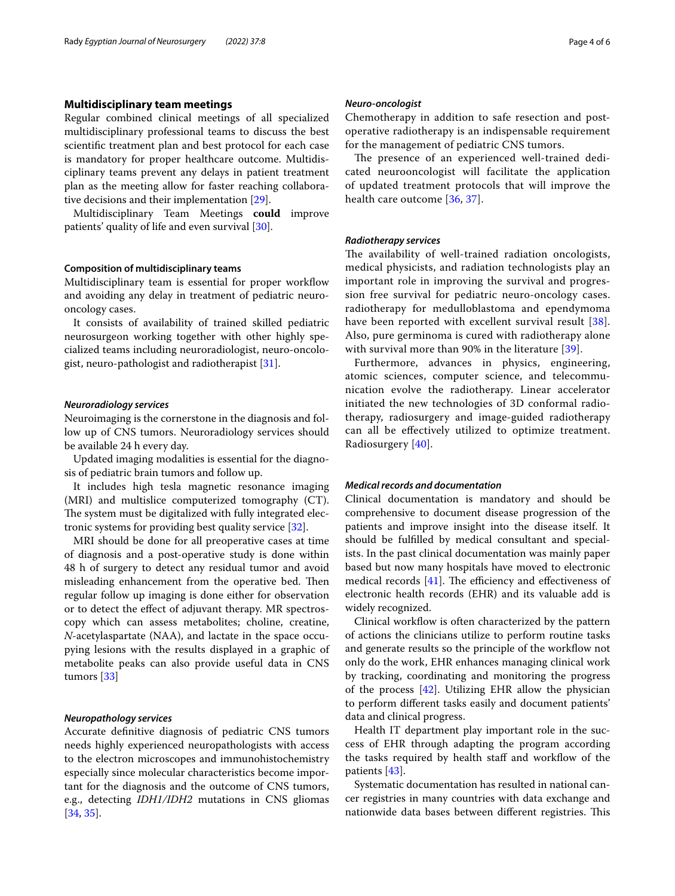## **Multidisciplinary team meetings**

Regular combined clinical meetings of all specialized multidisciplinary professional teams to discuss the best scientifc treatment plan and best protocol for each case is mandatory for proper healthcare outcome. Multidisciplinary teams prevent any delays in patient treatment plan as the meeting allow for faster reaching collaborative decisions and their implementation [\[29\]](#page-5-11).

Multidisciplinary Team Meetings **could** improve patients' quality of life and even survival [[30](#page-5-12)].

#### **Composition of multidisciplinary teams**

Multidisciplinary team is essential for proper workflow and avoiding any delay in treatment of pediatric neurooncology cases.

It consists of availability of trained skilled pediatric neurosurgeon working together with other highly specialized teams including neuroradiologist, neuro-oncologist, neuro-pathologist and radiotherapist [\[31](#page-5-13)].

#### *Neuroradiology services*

Neuroimaging is the cornerstone in the diagnosis and follow up of CNS tumors. Neuroradiology services should be available 24 h every day.

Updated imaging modalities is essential for the diagnosis of pediatric brain tumors and follow up.

It includes high tesla magnetic resonance imaging (MRI) and multislice computerized tomography (CT). The system must be digitalized with fully integrated electronic systems for providing best quality service [\[32\]](#page-5-14).

MRI should be done for all preoperative cases at time of diagnosis and a post-operative study is done within 48 h of surgery to detect any residual tumor and avoid misleading enhancement from the operative bed. Then regular follow up imaging is done either for observation or to detect the efect of adjuvant therapy. MR spectroscopy which can assess metabolites; choline, creatine, *N*-acetylaspartate (NAA), and lactate in the space occupying lesions with the results displayed in a graphic of metabolite peaks can also provide useful data in CNS tumors [[33](#page-5-15)]

#### *Neuropathology services*

Accurate defnitive diagnosis of pediatric CNS tumors needs highly experienced neuropathologists with access to the electron microscopes and immunohistochemistry especially since molecular characteristics become important for the diagnosis and the outcome of CNS tumors, e.g., detecting *IDH1/IDH2* mutations in CNS gliomas [[34,](#page-5-16) [35](#page-5-17)].

#### *Neuro‑oncologist*

Chemotherapy in addition to safe resection and postoperative radiotherapy is an indispensable requirement for the management of pediatric CNS tumors.

The presence of an experienced well-trained dedicated neurooncologist will facilitate the application of updated treatment protocols that will improve the health care outcome [\[36](#page-5-18), [37](#page-5-19)].

#### *Radiotherapy services*

The availability of well-trained radiation oncologists, medical physicists, and radiation technologists play an important role in improving the survival and progression free survival for pediatric neuro-oncology cases. radiotherapy for medulloblastoma and ependymoma have been reported with excellent survival result [[38](#page-5-20)]. Also, pure germinoma is cured with radiotherapy alone with survival more than 90% in the literature [[39\]](#page-5-21).

Furthermore, advances in physics, engineering, atomic sciences, computer science, and telecommunication evolve the radiotherapy. Linear accelerator initiated the new technologies of 3D conformal radiotherapy, radiosurgery and image-guided radiotherapy can all be efectively utilized to optimize treatment. Radiosurgery [\[40\]](#page-5-22).

#### *Medical records and documentation*

Clinical documentation is mandatory and should be comprehensive to document disease progression of the patients and improve insight into the disease itself. It should be fulflled by medical consultant and specialists. In the past clinical documentation was mainly paper based but now many hospitals have moved to electronic medical records  $[41]$  $[41]$ . The efficiency and effectiveness of electronic health records (EHR) and its valuable add is widely recognized.

Clinical workflow is often characterized by the pattern of actions the clinicians utilize to perform routine tasks and generate results so the principle of the workflow not only do the work, EHR enhances managing clinical work by tracking, coordinating and monitoring the progress of the process [\[42\]](#page-5-24). Utilizing EHR allow the physician to perform diferent tasks easily and document patients' data and clinical progress.

Health IT department play important role in the success of EHR through adapting the program according the tasks required by health staff and workflow of the patients [[43\]](#page-5-25).

Systematic documentation has resulted in national cancer registries in many countries with data exchange and nationwide data bases between different registries. This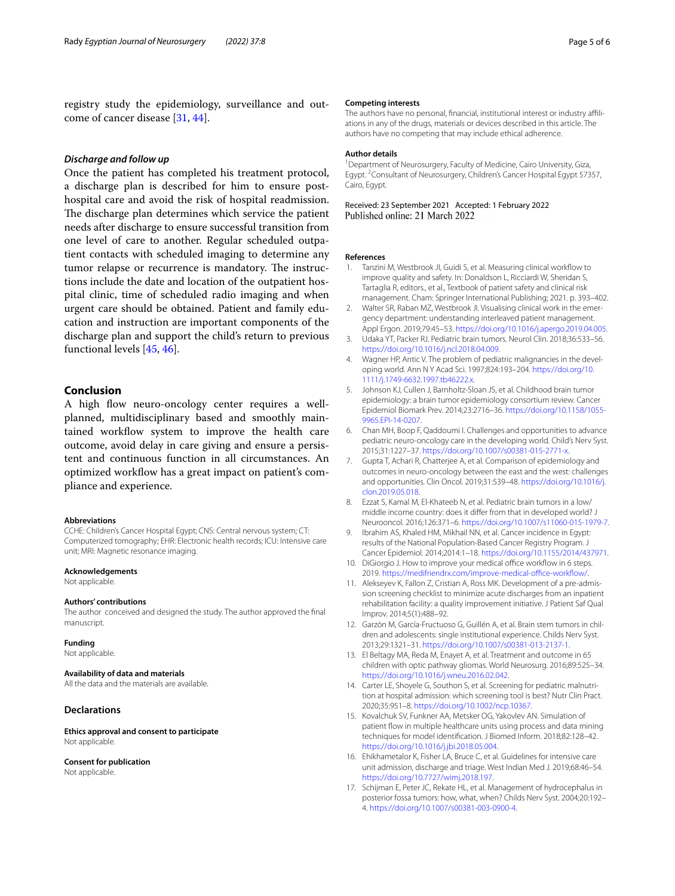registry study the epidemiology, surveillance and outcome of cancer disease [[31](#page-5-13), [44\]](#page-5-26).

### *Discharge and follow up*

Once the patient has completed his treatment protocol, a discharge plan is described for him to ensure posthospital care and avoid the risk of hospital readmission. The discharge plan determines which service the patient needs after discharge to ensure successful transition from one level of care to another. Regular scheduled outpatient contacts with scheduled imaging to determine any tumor relapse or recurrence is mandatory. The instructions include the date and location of the outpatient hospital clinic, time of scheduled radio imaging and when urgent care should be obtained. Patient and family education and instruction are important components of the discharge plan and support the child's return to previous functional levels [[45,](#page-5-27) [46](#page-5-28)].

## **Conclusion**

A high fow neuro-oncology center requires a wellplanned, multidisciplinary based and smoothly maintained workflow system to improve the health care outcome, avoid delay in care giving and ensure a persistent and continuous function in all circumstances. An optimized workflow has a great impact on patient's compliance and experience.

#### **Abbreviations**

CCHE: Children's Cancer Hospital Egypt; CNS: Central nervous system; CT: Computerized tomography; EHR: Electronic health records; ICU: Intensive care unit; MRI: Magnetic resonance imaging.

#### **Acknowledgements**

Not applicable.

#### **Authors' contributions**

The author conceived and designed the study. The author approved the fnal manuscript.

#### **Funding**

Not applicable.

#### **Availability of data and materials**

All the data and the materials are available.

#### **Declarations**

**Ethics approval and consent to participate** Not applicable.

#### **Consent for publication**

Not applicable.

#### **Competing interests**

The authors have no personal, fnancial, institutional interest or industry afliations in any of the drugs, materials or devices described in this article. The authors have no competing that may include ethical adherence.

#### **Author details**

<sup>1</sup> Department of Neurosurgery, Faculty of Medicine, Cairo University, Giza, Egypt.<sup>2</sup> Consultant of Neurosurgery, Children's Cancer Hospital Egypt 57357, Cairo, Egypt.

Received: 23 September 2021 Accepted: 1 February 2022<br>Published online: 21 March 2022

#### **References**

- <span id="page-4-0"></span>1. Tanzini M, Westbrook JI, Guidi S, et al. Measuring clinical workflow to improve quality and safety. In: Donaldson L, Ricciardi W, Sheridan S, Tartaglia R, editors., et al., Textbook of patient safety and clinical risk management. Cham: Springer International Publishing; 2021. p. 393–402.
- <span id="page-4-1"></span>2. Walter SR, Raban MZ, Westbrook JI. Visualising clinical work in the emergency department: understanding interleaved patient management. Appl Ergon. 2019;79:45–53.<https://doi.org/10.1016/j.apergo.2019.04.005>.
- <span id="page-4-2"></span>3. Udaka YT, Packer RJ. Pediatric brain tumors. Neurol Clin. 2018;36:533–56. <https://doi.org/10.1016/j.ncl.2018.04.009>.
- <span id="page-4-3"></span>4. Wagner HP, Antic V. The problem of pediatric malignancies in the developing world. Ann N Y Acad Sci. 1997;824:193–204. [https://doi.org/10.](https://doi.org/10.1111/j.1749-6632.1997.tb46222.x) [1111/j.1749-6632.1997.tb46222.x.](https://doi.org/10.1111/j.1749-6632.1997.tb46222.x)
- <span id="page-4-4"></span>5. Johnson KJ, Cullen J, Barnholtz-Sloan JS, et al. Childhood brain tumor epidemiology: a brain tumor epidemiology consortium review. Cancer Epidemiol Biomark Prev. 2014;23:2716–36. [https://doi.org/10.1158/1055-](https://doi.org/10.1158/1055-9965.EPI-14-0207) [9965.EPI-14-0207.](https://doi.org/10.1158/1055-9965.EPI-14-0207)
- <span id="page-4-5"></span>6. Chan MH, Boop F, Qaddoumi I. Challenges and opportunities to advance pediatric neuro-oncology care in the developing world. Child's Nerv Syst. 2015;31:1227–37. <https://doi.org/10.1007/s00381-015-2771-x>.
- <span id="page-4-6"></span>7. Gupta T, Achari R, Chatterjee A, et al. Comparison of epidemiology and outcomes in neuro-oncology between the east and the west: challenges and opportunities. Clin Oncol. 2019;31:539–48. [https://doi.org/10.1016/j.](https://doi.org/10.1016/j.clon.2019.05.018) [clon.2019.05.018.](https://doi.org/10.1016/j.clon.2019.05.018)
- <span id="page-4-7"></span>8. Ezzat S, Kamal M, El-Khateeb N, et al. Pediatric brain tumors in a low/ middle income country: does it difer from that in developed world? J Neurooncol. 2016;126:371–6. [https://doi.org/10.1007/s11060-015-1979-7.](https://doi.org/10.1007/s11060-015-1979-7)
- <span id="page-4-8"></span>9. Ibrahim AS, Khaled HM, Mikhail NN, et al. Cancer incidence in Fgypt: results of the National Population-Based Cancer Registry Program. J Cancer Epidemiol. 2014;2014:1–18. [https://doi.org/10.1155/2014/437971.](https://doi.org/10.1155/2014/437971)
- <span id="page-4-9"></span>10. DiGiorgio J. How to improve your medical office workflow in 6 steps. 2019. https://medifriendrx.com/improve-medical-office-workflow/.
- <span id="page-4-10"></span>11. Alekseyev K, Fallon Z, Cristian A, Ross MK. Development of a pre-admission screening checklist to minimize acute discharges from an inpatient rehabilitation facility: a quality improvement initiative. J Patient Saf Qual Improv. 2014;5(1):488–92.
- <span id="page-4-11"></span>12. Garzón M, García-Fructuoso G, Guillén A, et al. Brain stem tumors in children and adolescents: single institutional experience. Childs Nerv Syst. 2013;29:1321–31. [https://doi.org/10.1007/s00381-013-2137-1.](https://doi.org/10.1007/s00381-013-2137-1)
- <span id="page-4-12"></span>13. El Beltagy MA, Reda M, Enayet A, et al. Treatment and outcome in 65 children with optic pathway gliomas. World Neurosurg. 2016;89:525–34. <https://doi.org/10.1016/j.wneu.2016.02.042>.
- <span id="page-4-13"></span>14. Carter LE, Shoyele G, Southon S, et al. Screening for pediatric malnutrition at hospital admission: which screening tool is best? Nutr Clin Pract. 2020;35:951–8. <https://doi.org/10.1002/ncp.10367>.
- <span id="page-4-14"></span>15. Kovalchuk SV, Funkner AA, Metsker OG, Yakovlev AN. Simulation of patient flow in multiple healthcare units using process and data mining techniques for model identifcation. J Biomed Inform. 2018;82:128–42. [https://doi.org/10.1016/j.jbi.2018.05.004.](https://doi.org/10.1016/j.jbi.2018.05.004)
- <span id="page-4-15"></span>16. Ehikhametalor K, Fisher LA, Bruce C, et al. Guidelines for intensive care unit admission, discharge and triage. West Indian Med J. 2019;68:46–54. <https://doi.org/10.7727/wimj.2018.197>.
- <span id="page-4-16"></span>17. Schijman E, Peter JC, Rekate HL, et al. Management of hydrocephalus in posterior fossa tumors: how, what, when? Childs Nerv Syst. 2004;20:192– 4.<https://doi.org/10.1007/s00381-003-0900-4>.